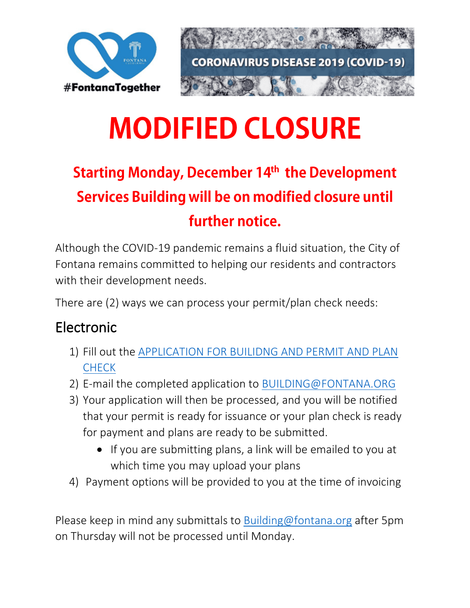

# **MODIFIED CLOSURE**

## **Starting Monday, December 14th the Development Services Building will be on modified closure until** further notice.

Although the COVID-19 pandemic remains a fluid situation, the City of Fontana remains committed to helping our residents and contractors with their development needs.

There are (2) ways we can process your permit/plan check needs:

#### Electronic

- 1) Fill out the [APPLICATION FOR BUILIDNG AND PERMIT AND PLAN](https://www.fontana.org/DocumentCenter/View/314/Application-for-Building-Permit-and-Plan-Check)  [CHECK](https://www.fontana.org/DocumentCenter/View/314/Application-for-Building-Permit-and-Plan-Check)
- 2) E-mail the completed application to [BUILDING@FONTANA.ORG](mailto:BUILDING@FONTANA.ORG)
- 3) Your application will then be processed, and you will be notified that your permit is ready for issuance or your plan check is ready for payment and plans are ready to be submitted.
	- If you are submitting plans, a link will be emailed to you at which time you may upload your plans
- 4) Payment options will be provided to you at the time of invoicing

Please keep in mind any submittals to [Building@fontana.org](mailto:Building@fontana.org) after 5pm on Thursday will not be processed until Monday.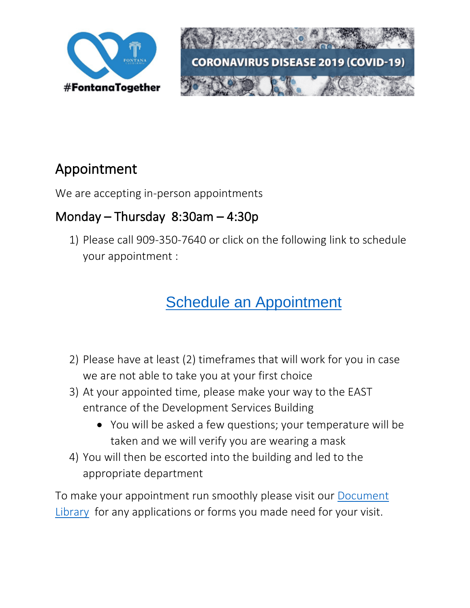



#### Appointment

We are accepting in-person appointments

#### Monday – Thursday 8:30am – 4:30p

1) Please call 909-350-7640 or click on the following link to schedule your appointment :

### [Schedule an Appointment](https://www.fontana.org/FormCenter/Building-Safety-19/Development-Appointment-108)

- 2) Please have at least (2) timeframes that will work for you in case we are not able to take you at your first choice
- 3) At your appointed time, please make your way to the EAST entrance of the Development Services Building
	- You will be asked a few questions; your temperature will be taken and we will verify you are wearing a mask
- 4) You will then be escorted into the building and led to the appropriate department

To make your appointment run smoothly please visit our [Document](https://www.fontana.org/144/Document-Library)  [Library](https://www.fontana.org/144/Document-Library) for any applications or forms you made need for your visit.